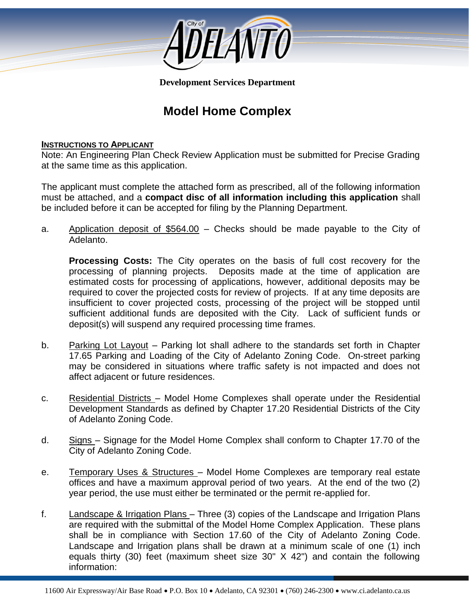

**Development Services Department**

# **Model Home Complex**

#### **INSTRUCTIONS TO APPLICANT**

Note: An Engineering Plan Check Review Application must be submitted for Precise Grading at the same time as this application.

The applicant must complete the attached form as prescribed, all of the following information must be attached, and a **compact disc of all information including this application** shall be included before it can be accepted for filing by the Planning Department.

a. Application deposit of \$564.00 – Checks should be made payable to the City of Adelanto.

**Processing Costs:** The City operates on the basis of full cost recovery for the processing of planning projects. Deposits made at the time of application are estimated costs for processing of applications, however, additional deposits may be required to cover the projected costs for review of projects. If at any time deposits are insufficient to cover projected costs, processing of the project will be stopped until sufficient additional funds are deposited with the City. Lack of sufficient funds or deposit(s) will suspend any required processing time frames.

- 17.65 Parking and Loading of the City of Adelanto Zoning Code. On-street parking b. Parking Lot Layout – Parking lot shall adhere to the standards set forth in Chapter may be considered in situations where traffic safety is not impacted and does not affect adjacent or future residences.
- c. Residential Districts Model Home Complexes shall operate under the Residential Development Standards as defined by Chapter 17.20 Residential Districts of the City of Adelanto Zoning Code.
- d. Signs Signage for the Model Home Complex shall conform to Chapter 17.70 of the City of Adelanto Zoning Code.
- e. Temporary Uses & Structures Model Home Complexes are temporary real estate offices and have a maximum approval period of two years. At the end of the two (2) year period, the use must either be terminated or the permit re-applied for.
- f. Landscape & Irrigation Plans Three (3) copies of the Landscape and Irrigation Plans are required with the submittal of the Model Home Complex Application. These plans shall be in compliance with Section 17.60 of the City of Adelanto Zoning Code. Landscape and Irrigation plans shall be drawn at a minimum scale of one (1) inch equals thirty (30) feet (maximum sheet size 30" X 42") and contain the following information: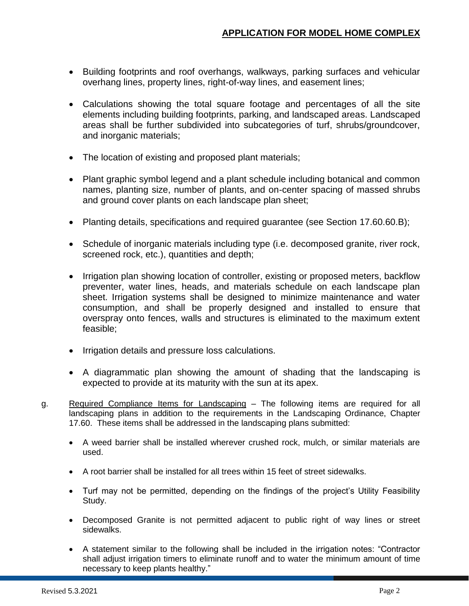- Building footprints and roof overhangs, walkways, parking surfaces and vehicular overhang lines, property lines, right-of-way lines, and easement lines;
- Calculations showing the total square footage and percentages of all the site elements including building footprints, parking, and landscaped areas. Landscaped areas shall be further subdivided into subcategories of turf, shrubs/groundcover, and inorganic materials;
- The location of existing and proposed plant materials;
- Plant graphic symbol legend and a plant schedule including botanical and common names, planting size, number of plants, and on-center spacing of massed shrubs and ground cover plants on each landscape plan sheet;
- Planting details, specifications and required guarantee (see Section 17.60.60.B);
- Schedule of inorganic materials including type (i.e. decomposed granite, river rock, screened rock, etc.), quantities and depth;
- Irrigation plan showing location of controller, existing or proposed meters, backflow preventer, water lines, heads, and materials schedule on each landscape plan sheet. Irrigation systems shall be designed to minimize maintenance and water consumption, and shall be properly designed and installed to ensure that overspray onto fences, walls and structures is eliminated to the maximum extent feasible;
- Irrigation details and pressure loss calculations.
- A diagrammatic plan showing the amount of shading that the landscaping is expected to provide at its maturity with the sun at its apex.
- g. Required Compliance Items for Landscaping The following items are required for all landscaping plans in addition to the requirements in the Landscaping Ordinance, Chapter 17.60. These items shall be addressed in the landscaping plans submitted:
	- A weed barrier shall be installed wherever crushed rock, mulch, or similar materials are used.
	- A root barrier shall be installed for all trees within 15 feet of street sidewalks.
	- Turf may not be permitted, depending on the findings of the project's Utility Feasibility Study.
	- Decomposed Granite is not permitted adjacent to public right of way lines or street sidewalks.
	- A statement similar to the following shall be included in the irrigation notes: "Contractor shall adjust irrigation timers to eliminate runoff and to water the minimum amount of time necessary to keep plants healthy."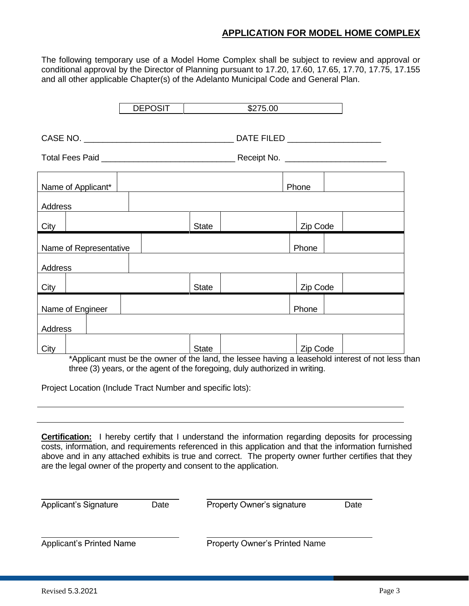### **APPLICATION FOR MODEL HOME COMPLEX**

The following temporary use of a Model Home Complex shall be subject to review and approval or conditional approval by the Director of Planning pursuant to 17.20, 17.60, 17.65, 17.70, 17.75, 17.155 and all other applicable Chapter(s) of the Adelanto Municipal Code and General Plan.

|                        | <b>DEPOSIT</b> |              | \$275.00 |          |  |
|------------------------|----------------|--------------|----------|----------|--|
|                        |                |              |          |          |  |
|                        |                |              |          |          |  |
| Name of Applicant*     |                |              |          | Phone    |  |
| Address                |                |              |          |          |  |
| City                   |                | <b>State</b> |          | Zip Code |  |
| Name of Representative |                |              |          | Phone    |  |
| Address                |                |              |          |          |  |
| City                   |                | <b>State</b> |          | Zip Code |  |
| Name of Engineer       |                |              |          | Phone    |  |
| Address                |                |              |          |          |  |
| City                   |                | <b>State</b> |          | Zip Code |  |

\*Applicant must be the owner of the land, the lessee having a leasehold interest of not less than three (3) years, or the agent of the foregoing, duly authorized in writing.

Project Location (Include Tract Number and specific lots):

**Certification:** I hereby certify that I understand the information regarding deposits for processing costs, information, and requirements referenced in this application and that the information furnished above and in any attached exhibits is true and correct. The property owner further certifies that they are the legal owner of the property and consent to the application.

| Applicant's Signature           | Date | Property Owner's signature           | Date |
|---------------------------------|------|--------------------------------------|------|
| <b>Applicant's Printed Name</b> |      | <b>Property Owner's Printed Name</b> |      |